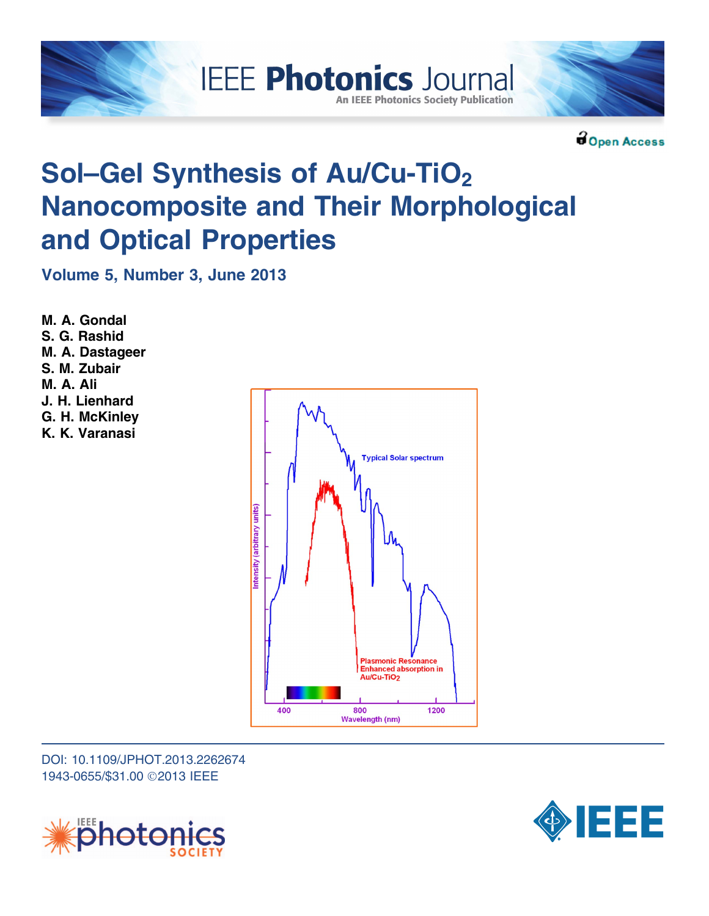

**BOpen Access** 

# Sol–Gel Synthesis of Au/Cu-TiO<sub>2</sub> Nanocomposite and Their Morphological and Optical Properties

Volume 5, Number 3, June 2013

M. A. Gondal S. G. Rashid M. A. Dastageer S. M. Zubair M. A. Ali J. H. Lienhard G. H. McKinley K. K. Varanasi



DOI: 10.1109/JPHOT.2013.2262674 1943-0655/\$31.00 ©2013 IEEE



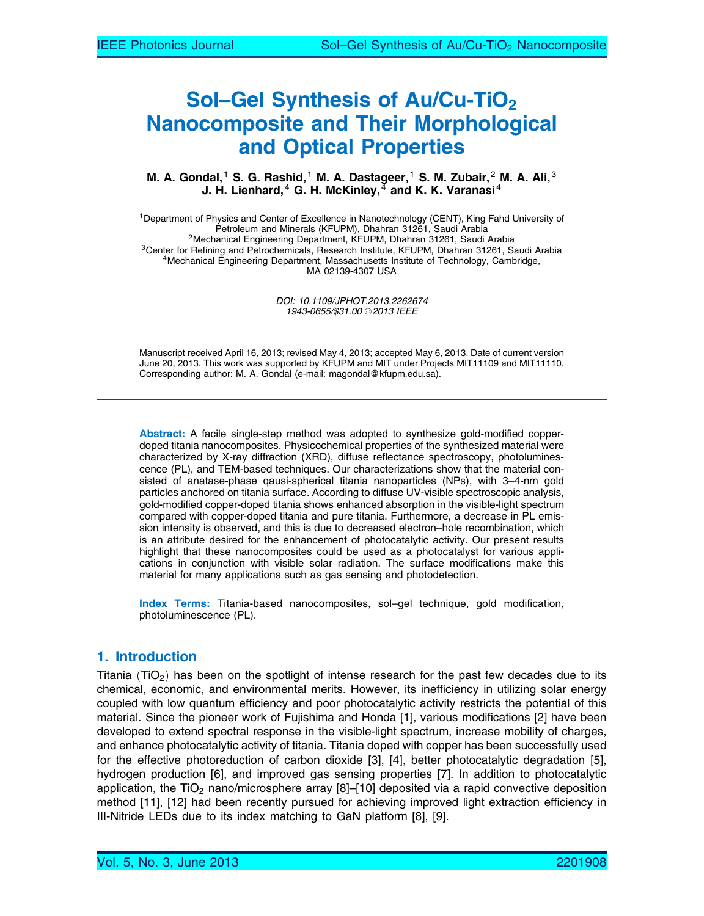# Sol–Gel Synthesis of Au/Cu-TiO<sub>2</sub> Nanocomposite and Their Morphological and Optical Properties

#### M. A. Gondal, <sup>1</sup> S. G. Rashid, <sup>1</sup> M. A. Dastageer, <sup>1</sup> S. M. Zubair, <sup>2</sup> M. A. Ali, <sup>3</sup> J. H. Lienhard, <sup>4</sup> G. H. McKinley,  $\frac{1}{4}$  and K. K. Varanasi<sup>4</sup>

<sup>1</sup>Department of Physics and Center of Excellence in Nanotechnology (CENT), King Fahd University of<br>Petroleum and Minerals (KFUPM), Dhahran 31261, Saudi Arabia <sup>2</sup>Mechanical Engineering Department, KFUPM, Dhahran 31261, Saudi Arabia<br><sup>3</sup>Center for Refining and Petrochemicals, Research Institute, KFUPM, Dhahran 31261, Saudi Arabia<br><sup>4</sup>Mechanical Engineering Department, Massachusetts MA 02139-4307 USA

> DOI: 10.1109/JPHOT.2013.2262674 1943-0655/\$31.00 © 2013 IEEE

Manuscript received April 16, 2013; revised May 4, 2013; accepted May 6, 2013. Date of current version June 20, 2013. This work was supported by KFUPM and MIT under Projects MIT11109 and MIT11110. Corresponding author: M. A. Gondal (e-mail: magondal@kfupm.edu.sa).

Abstract: A facile single-step method was adopted to synthesize gold-modified copperdoped titania nanocomposites. Physicochemical properties of the synthesized material were characterized by X-ray diffraction (XRD), diffuse reflectance spectroscopy, photoluminescence (PL), and TEM-based techniques. Our characterizations show that the material consisted of anatase-phase qausi-spherical titania nanoparticles (NPs), with 3–4-nm gold particles anchored on titania surface. According to diffuse UV-visible spectroscopic analysis, gold-modified copper-doped titania shows enhanced absorption in the visible-light spectrum compared with copper-doped titania and pure titania. Furthermore, a decrease in PL emission intensity is observed, and this is due to decreased electron–hole recombination, which is an attribute desired for the enhancement of photocatalytic activity. Our present results highlight that these nanocomposites could be used as a photocatalyst for various applications in conjunction with visible solar radiation. The surface modifications make this material for many applications such as gas sensing and photodetection.

Index Terms: Titania-based nanocomposites, sol–gel technique, gold modification, photoluminescence (PL).

### 1. Introduction

Titania (TiO<sub>2</sub>) has been on the spotlight of intense research for the past few decades due to its chemical, economic, and environmental merits. However, its inefficiency in utilizing solar energy coupled with low quantum efficiency and poor photocatalytic activity restricts the potential of this material. Since the pioneer work of Fujishima and Honda [1], various modifications [2] have been developed to extend spectral response in the visible-light spectrum, increase mobility of charges, and enhance photocatalytic activity of titania. Titania doped with copper has been successfully used for the effective photoreduction of carbon dioxide [3], [4], better photocatalytic degradation [5], hydrogen production [6], and improved gas sensing properties [7]. In addition to photocatalytic application, the TiO<sub>2</sub> nano/microsphere array  $[8]$ –[10] deposited via a rapid convective deposition method [11], [12] had been recently pursued for achieving improved light extraction efficiency in III-Nitride LEDs due to its index matching to GaN platform [8], [9].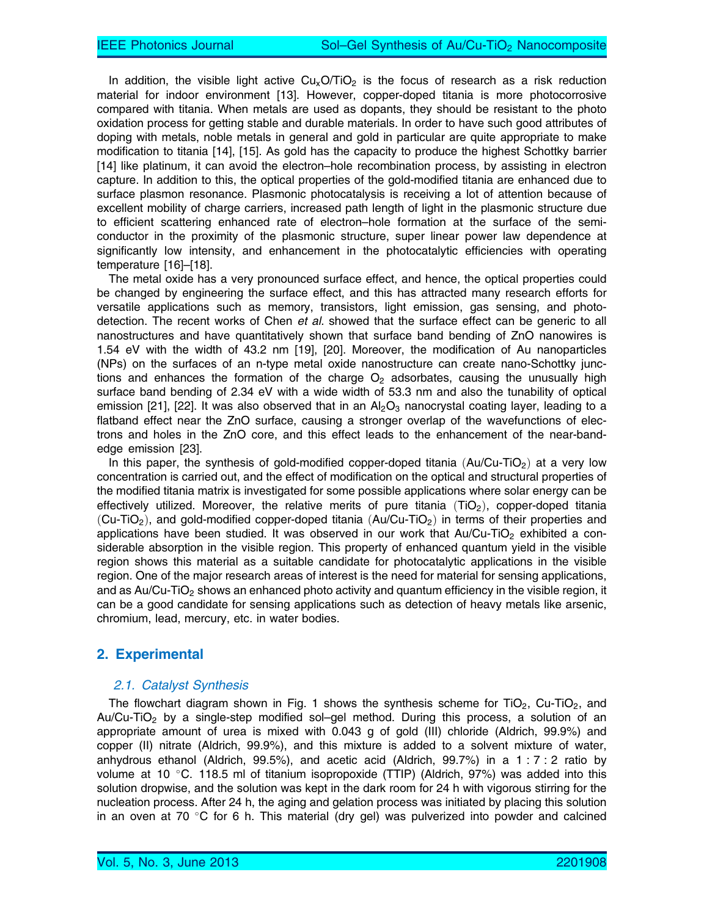In addition, the visible light active  $Cu<sub>x</sub>O/TiO<sub>2</sub>$  is the focus of research as a risk reduction material for indoor environment [13]. However, copper-doped titania is more photocorrosive compared with titania. When metals are used as dopants, they should be resistant to the photo oxidation process for getting stable and durable materials. In order to have such good attributes of doping with metals, noble metals in general and gold in particular are quite appropriate to make modification to titania [14], [15]. As gold has the capacity to produce the highest Schottky barrier [14] like platinum, it can avoid the electron–hole recombination process, by assisting in electron capture. In addition to this, the optical properties of the gold-modified titania are enhanced due to surface plasmon resonance. Plasmonic photocatalysis is receiving a lot of attention because of excellent mobility of charge carriers, increased path length of light in the plasmonic structure due to efficient scattering enhanced rate of electron–hole formation at the surface of the semiconductor in the proximity of the plasmonic structure, super linear power law dependence at significantly low intensity, and enhancement in the photocatalytic efficiencies with operating temperature [16]–[18].

The metal oxide has a very pronounced surface effect, and hence, the optical properties could be changed by engineering the surface effect, and this has attracted many research efforts for versatile applications such as memory, transistors, light emission, gas sensing, and photodetection. The recent works of Chen et al. showed that the surface effect can be generic to all nanostructures and have quantitatively shown that surface band bending of ZnO nanowires is 1.54 eV with the width of 43.2 nm [19], [20]. Moreover, the modification of Au nanoparticles (NPs) on the surfaces of an n-type metal oxide nanostructure can create nano-Schottky junctions and enhances the formation of the charge  $O<sub>2</sub>$  adsorbates, causing the unusually high surface band bending of 2.34 eV with a wide width of 53.3 nm and also the tunability of optical emission [21], [22]. It was also observed that in an  $A_2O_3$  nanocrystal coating layer, leading to a flatband effect near the ZnO surface, causing a stronger overlap of the wavefunctions of electrons and holes in the ZnO core, and this effect leads to the enhancement of the near-bandedge emission [23].

In this paper, the synthesis of gold-modified copper-doped titania  $(Au/Cu-TiO<sub>2</sub>)$  at a very low concentration is carried out, and the effect of modification on the optical and structural properties of the modified titania matrix is investigated for some possible applications where solar energy can be effectively utilized. Moreover, the relative merits of pure titania  $(TiO<sub>2</sub>)$ , copper-doped titania (Cu-TiO<sub>2</sub>), and gold-modified copper-doped titania (Au/Cu-TiO<sub>2</sub>) in terms of their properties and applications have been studied. It was observed in our work that  $Au/Cu-TiO<sub>2</sub>$  exhibited a considerable absorption in the visible region. This property of enhanced quantum yield in the visible region shows this material as a suitable candidate for photocatalytic applications in the visible region. One of the major research areas of interest is the need for material for sensing applications, and as  $Au/Cu-TiO<sub>2</sub>$  shows an enhanced photo activity and quantum efficiency in the visible region, it can be a good candidate for sensing applications such as detection of heavy metals like arsenic, chromium, lead, mercury, etc. in water bodies.

### 2. Experimental

#### 2.1. Catalyst Synthesis

The flowchart diagram shown in Fig. 1 shows the synthesis scheme for  $TiO<sub>2</sub>$ , Cu-TiO<sub>2</sub>, and Au/Cu-TiO2 by a single-step modified sol–gel method. During this process, a solution of an appropriate amount of urea is mixed with 0.043 g of gold (III) chloride (Aldrich, 99.9%) and copper (II) nitrate (Aldrich, 99.9%), and this mixture is added to a solvent mixture of water, anhydrous ethanol (Aldrich, 99.5%), and acetic acid (Aldrich, 99.7%) in a  $1:7:2$  ratio by volume at 10 °C. 118.5 ml of titanium isopropoxide (TTIP) (Aldrich, 97%) was added into this solution dropwise, and the solution was kept in the dark room for 24 h with vigorous stirring for the nucleation process. After 24 h, the aging and gelation process was initiated by placing this solution in an oven at 70  $\degree$ C for 6 h. This material (dry gel) was pulverized into powder and calcined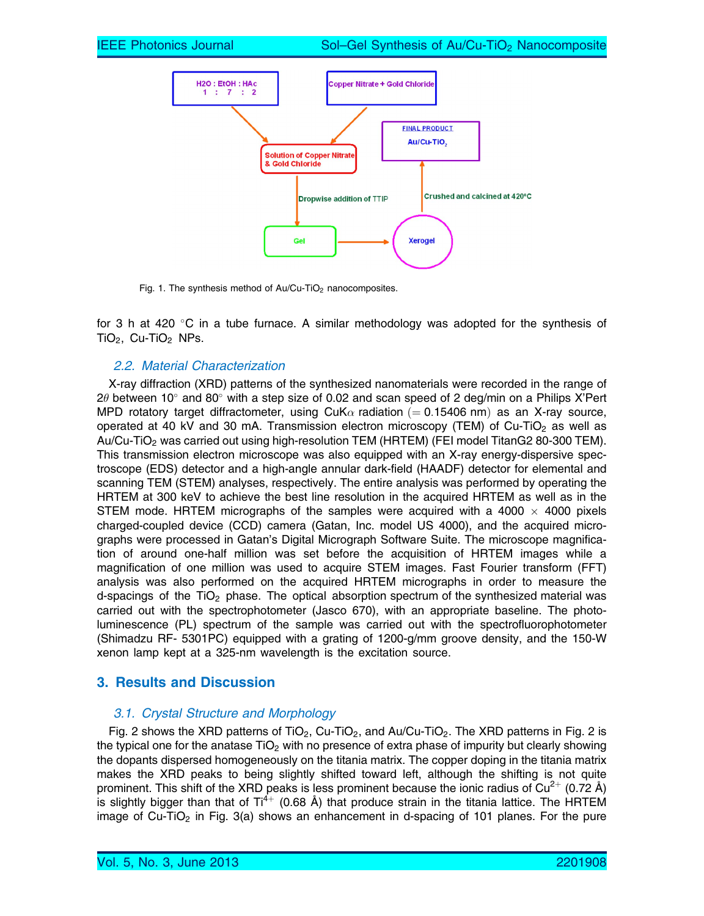

Fig. 1. The synthesis method of  $Au/Cu$ -TiO<sub>2</sub> nanocomposites.

for 3 h at 420  $\degree$ C in a tube furnace. A similar methodology was adopted for the synthesis of TiO<sub>2</sub>, Cu-TiO<sub>2</sub> NPs.

### 2.2. Material Characterization

X-ray diffraction (XRD) patterns of the synthesized nanomaterials were recorded in the range of 2 $\theta$  between 10° and 80° with a step size of 0.02 and scan speed of 2 deg/min on a Philips X'Pert MPD rotatory target diffractometer, using CuK $\alpha$  radiation (= 0.15406 nm) as an X-ray source, operated at 40 kV and 30 mA. Transmission electron microscopy (TEM) of  $Cu-TiO<sub>2</sub>$  as well as Au/Cu-TiO2 was carried out using high-resolution TEM (HRTEM) (FEI model TitanG2 80-300 TEM). This transmission electron microscope was also equipped with an X-ray energy-dispersive spectroscope (EDS) detector and a high-angle annular dark-field (HAADF) detector for elemental and scanning TEM (STEM) analyses, respectively. The entire analysis was performed by operating the HRTEM at 300 keV to achieve the best line resolution in the acquired HRTEM as well as in the STEM mode. HRTEM micrographs of the samples were acquired with a 4000  $\times$  4000 pixels charged-coupled device (CCD) camera (Gatan, Inc. model US 4000), and the acquired micrographs were processed in Gatan's Digital Micrograph Software Suite. The microscope magnification of around one-half million was set before the acquisition of HRTEM images while a magnification of one million was used to acquire STEM images. Fast Fourier transform (FFT) analysis was also performed on the acquired HRTEM micrographs in order to measure the d-spacings of the  $TiO<sub>2</sub>$  phase. The optical absorption spectrum of the synthesized material was carried out with the spectrophotometer (Jasco 670), with an appropriate baseline. The photoluminescence (PL) spectrum of the sample was carried out with the spectrofluorophotometer (Shimadzu RF- 5301PC) equipped with a grating of 1200-g/mm groove density, and the 150-W xenon lamp kept at a 325-nm wavelength is the excitation source.

# 3. Results and Discussion

### 3.1. Crystal Structure and Morphology

Fig. 2 shows the XRD patterns of TiO<sub>2</sub>, Cu-TiO<sub>2</sub>, and Au/Cu-TiO<sub>2</sub>. The XRD patterns in Fig. 2 is the typical one for the anatase  $TiO<sub>2</sub>$  with no presence of extra phase of impurity but clearly showing the dopants dispersed homogeneously on the titania matrix. The copper doping in the titania matrix makes the XRD peaks to being slightly shifted toward left, although the shifting is not quite prominent. This shift of the XRD peaks is less prominent because the ionic radius of  $Cu^{2+}$  (0.72 Å) is slightly bigger than that of  $Ti^{4+}$  (0.68 Å) that produce strain in the titania lattice. The HRTEM image of Cu-TiO<sub>2</sub> in Fig. 3(a) shows an enhancement in d-spacing of 101 planes. For the pure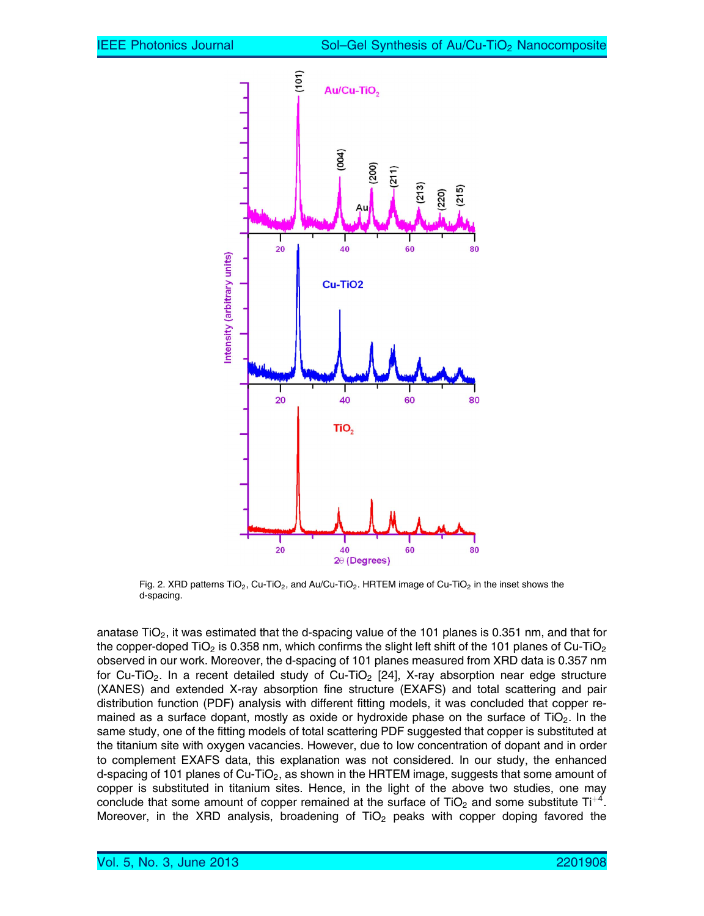

Fig. 2. XRD patterns  $TiO<sub>2</sub>$ , Cu-TiO<sub>2</sub>, and Au/Cu-TiO<sub>2</sub>. HRTEM image of Cu-TiO<sub>2</sub> in the inset shows the d-spacing.

anatase TiO<sub>2</sub>, it was estimated that the d-spacing value of the 101 planes is 0.351 nm, and that for the copper-doped TiO<sub>2</sub> is 0.358 nm, which confirms the slight left shift of the 101 planes of Cu-TiO<sub>2</sub> observed in our work. Moreover, the d-spacing of 101 planes measured from XRD data is 0.357 nm for Cu-TiO<sub>2</sub>. In a recent detailed study of Cu-TiO<sub>2</sub> [24], X-ray absorption near edge structure (XANES) and extended X-ray absorption fine structure (EXAFS) and total scattering and pair distribution function (PDF) analysis with different fitting models, it was concluded that copper remained as a surface dopant, mostly as oxide or hydroxide phase on the surface of  $TiO<sub>2</sub>$ . In the same study, one of the fitting models of total scattering PDF suggested that copper is substituted at the titanium site with oxygen vacancies. However, due to low concentration of dopant and in order to complement EXAFS data, this explanation was not considered. In our study, the enhanced d-spacing of 101 planes of  $Cu-TiO<sub>2</sub>$ , as shown in the HRTEM image, suggests that some amount of copper is substituted in titanium sites. Hence, in the light of the above two studies, one may conclude that some amount of copper remained at the surface of TiO<sub>2</sub> and some substitute Ti<sup>+4</sup>. Moreover, in the XRD analysis, broadening of  $TiO<sub>2</sub>$  peaks with copper doping favored the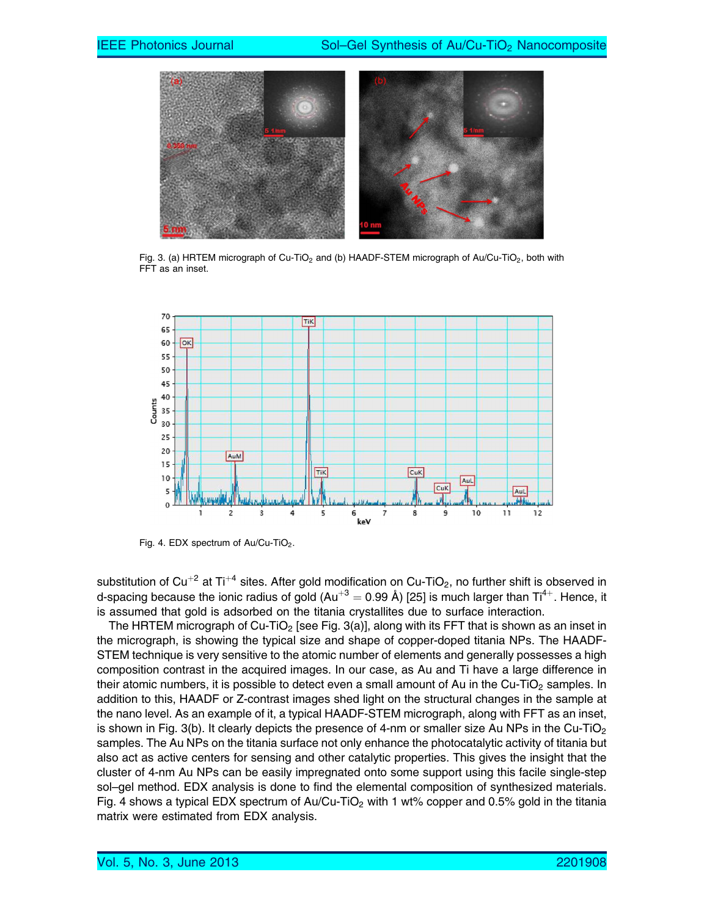

Fig. 3. (a) HRTEM micrograph of Cu-TiO<sub>2</sub> and (b) HAADF-STEM micrograph of Au/Cu-TiO<sub>2</sub>, both with FFT as an inset.



Fig. 4. EDX spectrum of Au/Cu-TiO<sub>2</sub>.

substitution of Cu<sup>+2</sup> at Ti<sup>+4</sup> sites. After gold modification on Cu-TiO<sub>2</sub>, no further shift is observed in d-spacing because the ionic radius of gold  $(Au^{+3} = 0.99 \text{ Å})$  [25] is much larger than Ti<sup>4+</sup>. Hence, it is assumed that gold is adsorbed on the titania crystallites due to surface interaction.

The HRTEM micrograph of Cu-TiO<sub>2</sub> [see Fig. 3(a)], along with its FFT that is shown as an inset in the micrograph, is showing the typical size and shape of copper-doped titania NPs. The HAADF-STEM technique is very sensitive to the atomic number of elements and generally possesses a high composition contrast in the acquired images. In our case, as Au and Ti have a large difference in their atomic numbers, it is possible to detect even a small amount of Au in the Cu-TiO<sub>2</sub> samples. In addition to this, HAADF or Z-contrast images shed light on the structural changes in the sample at the nano level. As an example of it, a typical HAADF-STEM micrograph, along with FFT as an inset, is shown in Fig. 3(b). It clearly depicts the presence of 4-nm or smaller size Au NPs in the Cu-TiO<sub>2</sub> samples. The Au NPs on the titania surface not only enhance the photocatalytic activity of titania but also act as active centers for sensing and other catalytic properties. This gives the insight that the cluster of 4-nm Au NPs can be easily impregnated onto some support using this facile single-step sol–gel method. EDX analysis is done to find the elemental composition of synthesized materials. Fig. 4 shows a typical EDX spectrum of Au/Cu-TiO<sub>2</sub> with 1 wt% copper and 0.5% gold in the titania matrix were estimated from EDX analysis.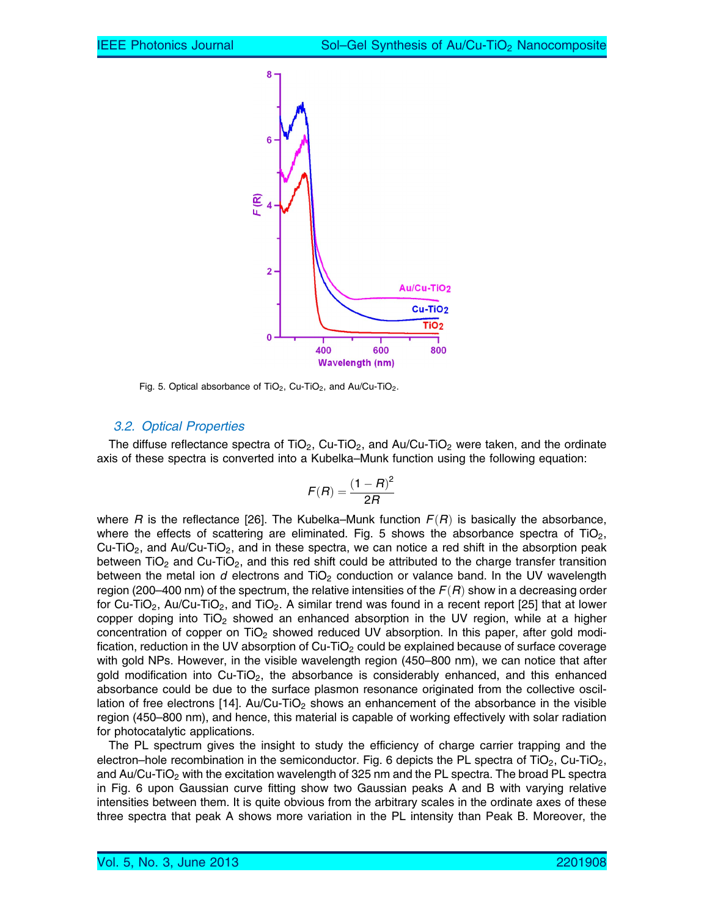

Fig. 5. Optical absorbance of TiO<sub>2</sub>, Cu-TiO<sub>2</sub>, and Au/Cu-TiO<sub>2</sub>.

#### 3.2. Optical Properties

The diffuse reflectance spectra of TiO<sub>2</sub>, Cu-TiO<sub>2</sub>, and Au/Cu-TiO<sub>2</sub> were taken, and the ordinate axis of these spectra is converted into a Kubelka–Munk function using the following equation:

$$
F(R) = \frac{\left(1 - R\right)^2}{2R}
$$

where R is the reflectance [26]. The Kubelka–Munk function  $F(R)$  is basically the absorbance, where the effects of scattering are eliminated. Fig. 5 shows the absorbance spectra of  $TiO<sub>2</sub>$ , Cu-TiO<sub>2</sub>, and Au/Cu-TiO<sub>2</sub>, and in these spectra, we can notice a red shift in the absorption peak between TiO<sub>2</sub> and Cu-TiO<sub>2</sub>, and this red shift could be attributed to the charge transfer transition between the metal ion  $d$  electrons and  $TiO<sub>2</sub>$  conduction or valance band. In the UV wavelength region (200–400 nm) of the spectrum, the relative intensities of the  $F(R)$  show in a decreasing order for Cu-TiO<sub>2</sub>, Au/Cu-TiO<sub>2</sub>, and TiO<sub>2</sub>. A similar trend was found in a recent report [25] that at lower copper doping into  $TiO<sub>2</sub>$  showed an enhanced absorption in the UV region, while at a higher concentration of copper on  $TiO<sub>2</sub>$  showed reduced UV absorption. In this paper, after gold modification, reduction in the UV absorption of  $Cu$ -TiO<sub>2</sub> could be explained because of surface coverage with gold NPs. However, in the visible wavelength region (450–800 nm), we can notice that after gold modification into  $Cu-TiO<sub>2</sub>$ , the absorbance is considerably enhanced, and this enhanced absorbance could be due to the surface plasmon resonance originated from the collective oscillation of free electrons [14]. Au/Cu-TiO<sub>2</sub> shows an enhancement of the absorbance in the visible region (450–800 nm), and hence, this material is capable of working effectively with solar radiation for photocatalytic applications.

The PL spectrum gives the insight to study the efficiency of charge carrier trapping and the electron–hole recombination in the semiconductor. Fig. 6 depicts the PL spectra of TiO<sub>2</sub>, Cu-TiO<sub>2</sub>, and Au/Cu-TiO<sub>2</sub> with the excitation wavelength of 325 nm and the PL spectra. The broad PL spectra in Fig. 6 upon Gaussian curve fitting show two Gaussian peaks A and B with varying relative intensities between them. It is quite obvious from the arbitrary scales in the ordinate axes of these three spectra that peak A shows more variation in the PL intensity than Peak B. Moreover, the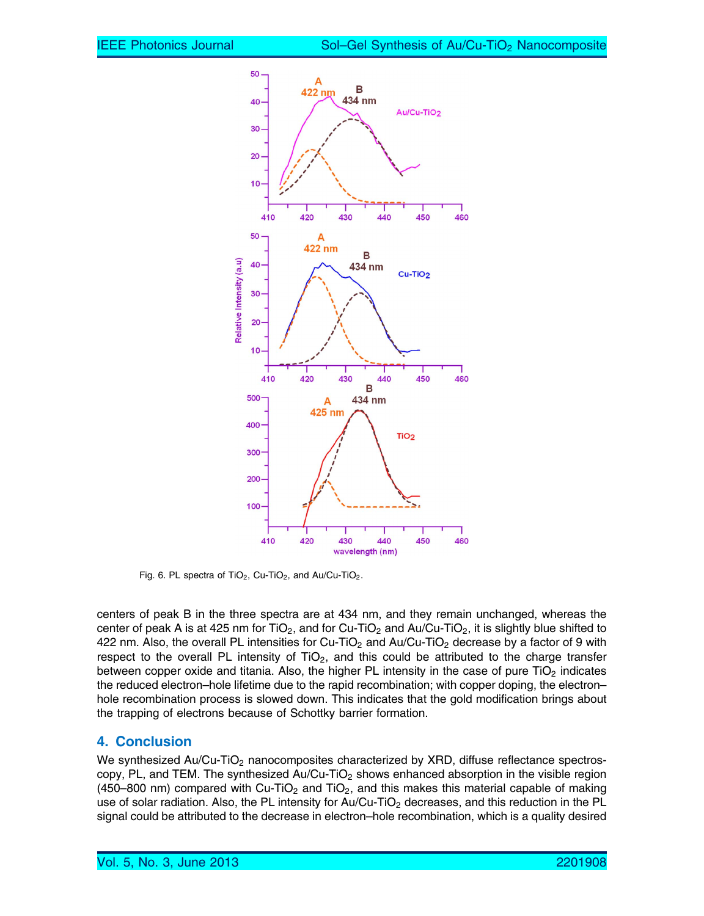

Fig. 6. PL spectra of  $TiO<sub>2</sub>$ , Cu-TiO<sub>2</sub>, and Au/Cu-TiO<sub>2</sub>.

centers of peak B in the three spectra are at 434 nm, and they remain unchanged, whereas the center of peak A is at 425 nm for TiO<sub>2</sub>, and for Cu-TiO<sub>2</sub> and Au/Cu-TiO<sub>2</sub>, it is slightly blue shifted to 422 nm. Also, the overall PL intensities for Cu-TiO<sub>2</sub> and Au/Cu-TiO<sub>2</sub> decrease by a factor of 9 with respect to the overall PL intensity of  $TiO<sub>2</sub>$ , and this could be attributed to the charge transfer between copper oxide and titania. Also, the higher PL intensity in the case of pure  $TiO<sub>2</sub>$  indicates the reduced electron–hole lifetime due to the rapid recombination; with copper doping, the electron– hole recombination process is slowed down. This indicates that the gold modification brings about the trapping of electrons because of Schottky barrier formation.

# 4. Conclusion

We synthesized Au/Cu-TiO<sub>2</sub> nanocomposites characterized by XRD, diffuse reflectance spectroscopy, PL, and TEM. The synthesized Au/Cu-TiO<sub>2</sub> shows enhanced absorption in the visible region (450–800 nm) compared with Cu-TiO<sub>2</sub> and TiO<sub>2</sub>, and this makes this material capable of making use of solar radiation. Also, the PL intensity for Au/Cu-TiO<sub>2</sub> decreases, and this reduction in the PL signal could be attributed to the decrease in electron–hole recombination, which is a quality desired